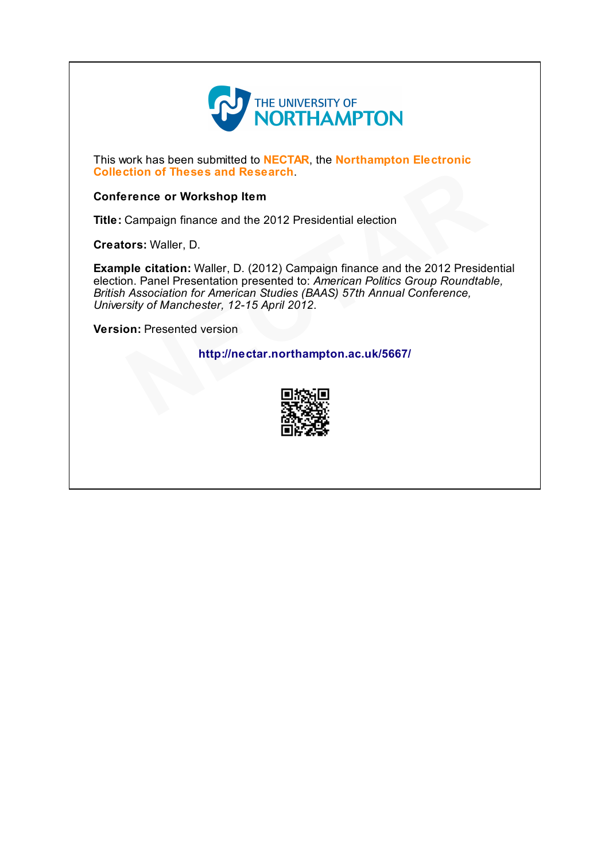

This work has been submitted to NECTAR, the Northampton Electronic Collection of Theses and Research.

#### Conference or Workshop Item

Title: Campaign finance and the 2012 Presidential election

Creators: Waller, D.

Example citation: Waller, D. (2012) Campaign finance and the 2012 Presidential election. Panel Presentation presented to: American Politics Group Roundtable, British Association for American Studies (BAAS) 57th Annual Conference, University of Manchester, 12-15 April 2012. tion of Theses and Research.<br>
Frence or Workshop Item<br>
Campaign finance and the 2012 Presidential election<br>
ors: Waller, D.<br>
ple citation: Waller, D. (2012) Campaign finance and the 2012 Preside<br>
n. Panel Presentation pre

Version: Presented version

http://nectar.northampton.ac.uk/5667/

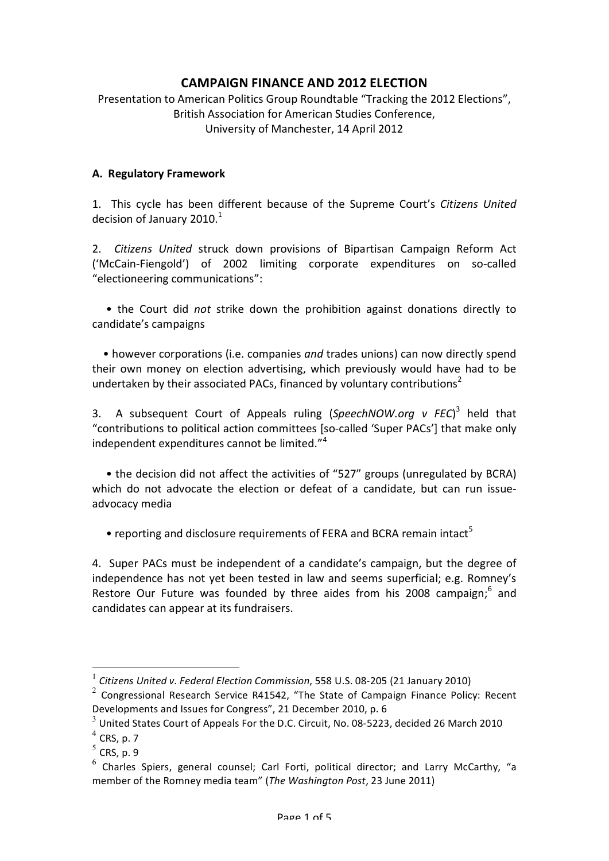# **CAMPAIGN FINANCE AND 2012 ELECTION**

Presentation to American Politics Group Roundtable "Tracking the 2012 Elections", British Association for American Studies Conference, University of Manchester, 14 April 2012

## **A. Regulatory Framework**

1. This cycle has been different because of the Supreme Court's Citizens United decision of January 2010. $1$ 

2. Citizens United struck down provisions of Bipartisan Campaign Reform Act ('McCain-Fiengold') of 2002 limiting corporate expenditures on so-called "electioneering communications":

• the Court did not strike down the prohibition against donations directly to candidate's campaigns

• however corporations (i.e. companies *and* trades unions) can now directly spend their own money on election advertising, which previously would have had to be undertaken by their associated PACs, financed by voluntary contributions<sup>2</sup>

3. A subsequent Court of Appeals ruling (SpeechNOW.org v FEC)<sup>3</sup> held that "contributions to political action committees [so-called 'Super PACs'] that make only independent expenditures cannot be limited." $4^4$ 

• the decision did not affect the activities of "527" groups (unregulated by BCRA) which do not advocate the election or defeat of a candidate, but can run issueadvocacy media

• reporting and disclosure requirements of FERA and BCRA remain intact<sup>5</sup>

4. Super PACs must be independent of a candidate's campaign, but the degree of independence has not yet been tested in law and seems superficial; e.g. Romney's Restore Our Future was founded by three aides from his 2008 campaign;<sup>6</sup> and candidates can appear at its fundraisers.

<sup>&</sup>lt;sup>1</sup> Citizens United v. Federal Election Commission, 558 U.S. 08-205 (21 January 2010)

 $2$  Congressional Research Service R41542, "The State of Campaign Finance Policy: Recent Developments and Issues for Congress", 21 December 2010, p. 6

 $3$  United States Court of Appeals For the D.C. Circuit, No. 08-5223, decided 26 March 2010

 $<sup>4</sup>$  CRS, p. 7</sup>

 $5$  CRS, p. 9

 $6$  Charles Spiers, general counsel; Carl Forti, political director; and Larry McCarthy, "a member of the Romney media team" (*The Washington Post*, 23 June 2011)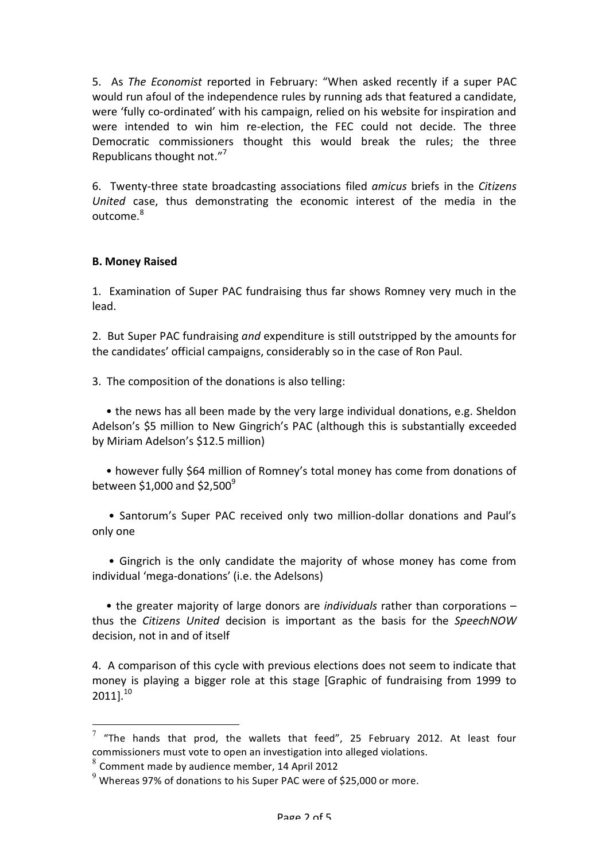5. As *The Economist* reported in February: "When asked recently if a super PAC would run afoul of the independence rules by running ads that featured a candidate, were 'fully co-ordinated' with his campaign, relied on his website for inspiration and were intended to win him re-election, the FEC could not decide. The three Democratic commissioners thought this would break the rules; the three Republicans thought not."<sup>7</sup>

6.% % TwentyPthree% state% broadcasting% associations% filed% *amicus*% briefs% in% the% *Citizens( United* case, thus demonstrating the economic interest of the media in the outcome.<sup>8</sup>

#### **B. Money Raised**

1. Examination of Super PAC fundraising thus far shows Romney very much in the lead.

2. But Super PAC fundraising *and* expenditure is still outstripped by the amounts for the candidates' official campaigns, considerably so in the case of Ron Paul.

3. The composition of the donations is also telling:

• the news has all been made by the very large individual donations, e.g. Sheldon Adelson's \$5 million to New Gingrich's PAC (although this is substantially exceeded by Miriam Adelson's \$12.5 million)

• however fully \$64 million of Romney's total money has come from donations of between \$1,000 and \$2,500 $^9$ 

• Santorum's Super PAC received only two million-dollar donations and Paul's only one

• Gingrich is the only candidate the majority of whose money has come from individual 'mega-donations' (i.e. the Adelsons)

• the greater majority of large donors are *individuals* rather than corporations – thus the *Citizens United* decision is important as the basis for the *SpeechNOW* decision, not in and of itself

4. A comparison of this cycle with previous elections does not seem to indicate that money is playing a bigger role at this stage [Graphic of fundraising from 1999 to  $2011$ <sup>10</sup>

 $\frac{7}{1}$  "The hands that prod, the wallets that feed", 25 February 2012. At least four commissioners must vote to open an investigation into alleged violations.

 $8$  Comment made by audience member, 14 April 2012

 $9$  Whereas 97% of donations to his Super PAC were of \$25,000 or more.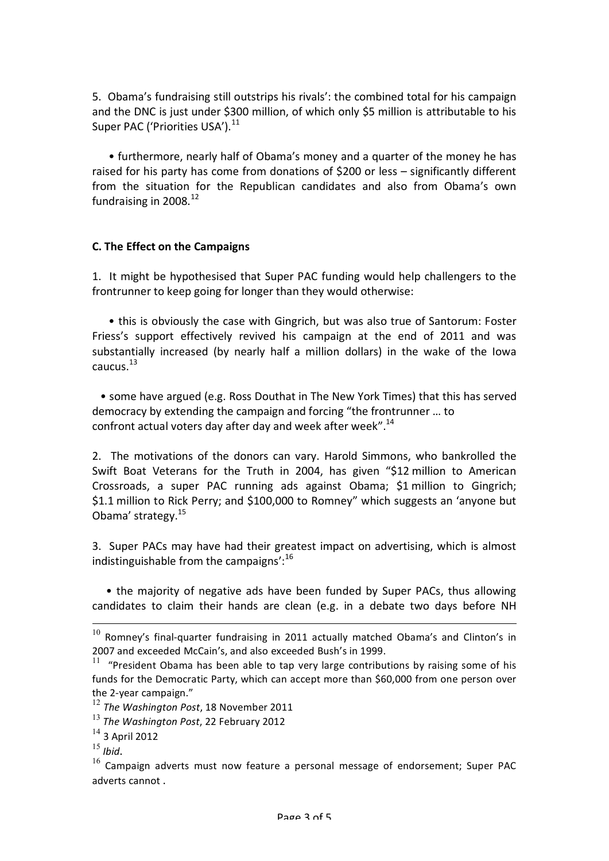5. Obama's fundraising still outstrips his rivals': the combined total for his campaign and the DNC is just under \$300 million, of which only \$5 million is attributable to his Super PAC ('Priorities USA').<sup>11</sup>

• furthermore, nearly half of Obama's money and a quarter of the money he has raised for his party has come from donations of \$200 or less – significantly different from the situation for the Republican candidates and also from Obama's own fundraising in  $2008.<sup>12</sup>$ 

## **C. The Effect on the Campaigns**

1. It might be hypothesised that Super PAC funding would help challengers to the frontrunner to keep going for longer than they would otherwise:

• this is obviously the case with Gingrich, but was also true of Santorum: Foster Friess's support effectively revived his campaign at the end of 2011 and was substantially increased (by nearly half a million dollars) in the wake of the Iowa  $c$ aucus. $13$ 

• some have argued (e.g. Ross Douthat in The New York Times) that this has served democracy by extending the campaign and forcing "the frontrunner ... to confront actual voters day after day and week after week".<sup>14</sup>

2. The motivations of the donors can vary. Harold Simmons, who bankrolled the Swift Boat Veterans for the Truth in 2004, has given "\$12 million to American Crossroads, a super PAC running ads against Obama; \$1 million to Gingrich; \$1.1 million to Rick Perry; and \$100,000 to Romney" which suggests an 'anyone but Obama' strategy.<sup>15</sup>

3. Super PACs may have had their greatest impact on advertising, which is almost indistinguishable from the campaigns': $16$ 

• the majority of negative ads have been funded by Super PACs, thus allowing candidates to claim their hands are clean (e.g. in a debate two days before NH

 $10$  Romney's final-quarter fundraising in 2011 actually matched Obama's and Clinton's in 2007 and exceeded McCain's, and also exceeded Bush's in 1999.

 $11$  "President Obama has been able to tap very large contributions by raising some of his funds for the Democratic Party, which can accept more than \$60,000 from one person over the 2-year campaign."

<sup>&</sup>lt;sup>12</sup> The Washington Post, 18 November 2011

<sup>&</sup>lt;sup>13</sup> The Washington Post, 22 February 2012

 $^{14}$  3 April 2012<br> $^{15}$  Ihid.

<sup>&</sup>lt;sup>16</sup> Campaign adverts must now feature a personal message of endorsement; Super PAC adverts cannot.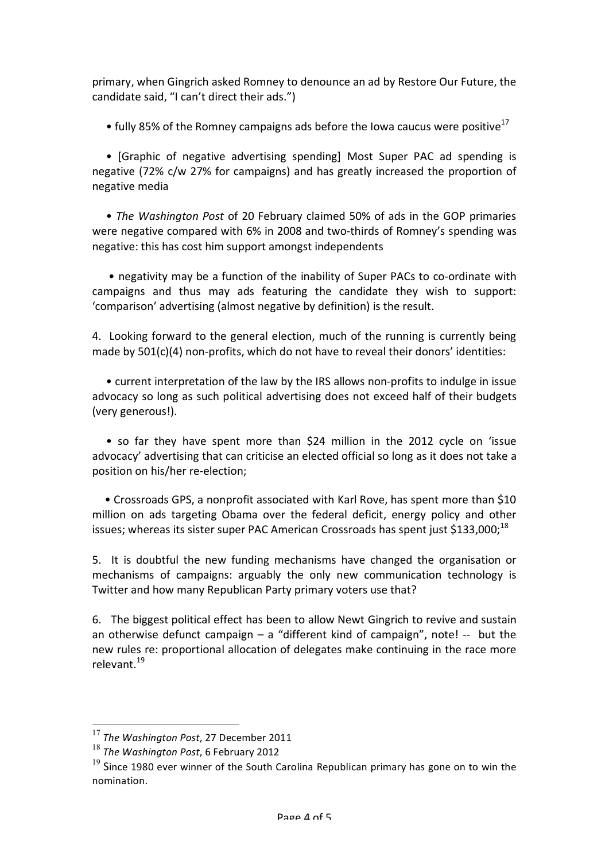primary, when Gingrich asked Romney to denounce an ad by Restore Our Future, the candidate said, "I can't direct their ads.")

• fully 85% of the Romney campaigns ads before the Iowa caucus were positive<sup>17</sup>

• [Graphic of negative advertising spending] Most Super PAC ad spending is negative (72% c/w 27% for campaigns) and has greatly increased the proportion of negative media

• The Washington Post of 20 February claimed 50% of ads in the GOP primaries were negative compared with 6% in 2008 and two-thirds of Romney's spending was negative: this has cost him support amongst independents

• negativity may be a function of the inability of Super PACs to co-ordinate with campaigns and thus may ads featuring the candidate they wish to support: 'comparison' advertising (almost negative by definition) is the result.

4. Looking forward to the general election, much of the running is currently being made by  $501(c)(4)$  non-profits, which do not have to reveal their donors' identities:

• current interpretation of the law by the IRS allows non-profits to indulge in issue advocacy so long as such political advertising does not exceed half of their budgets (very generous!).

• so far they have spent more than \$24 million in the 2012 cycle on 'issue advocacy' advertising that can criticise an elected official so long as it does not take a position on his/her re-election;

• Crossroads GPS, a nonprofit associated with Karl Rove, has spent more than \$10 million on ads targeting Obama over the federal deficit, energy policy and other issues; whereas its sister super PAC American Crossroads has spent just \$133,000;<sup>18</sup>

5. It is doubtful the new funding mechanisms have changed the organisation or mechanisms of campaigns: arguably the only new communication technology is Twitter and how many Republican Party primary voters use that?

6. The biggest political effect has been to allow Newt Gingrich to revive and sustain an otherwise defunct campaign – a "different kind of campaign", note! -- but the new rules re: proportional allocation of delegates make continuing in the race more relevant.<sup>19</sup>

<sup>&</sup>lt;sup>17</sup> The Washington Post, 27 December 2011

<sup>&</sup>lt;sup>18</sup> The Washington Post, 6 February 2012

 $19$  Since 1980 ever winner of the South Carolina Republican primary has gone on to win the nomination.